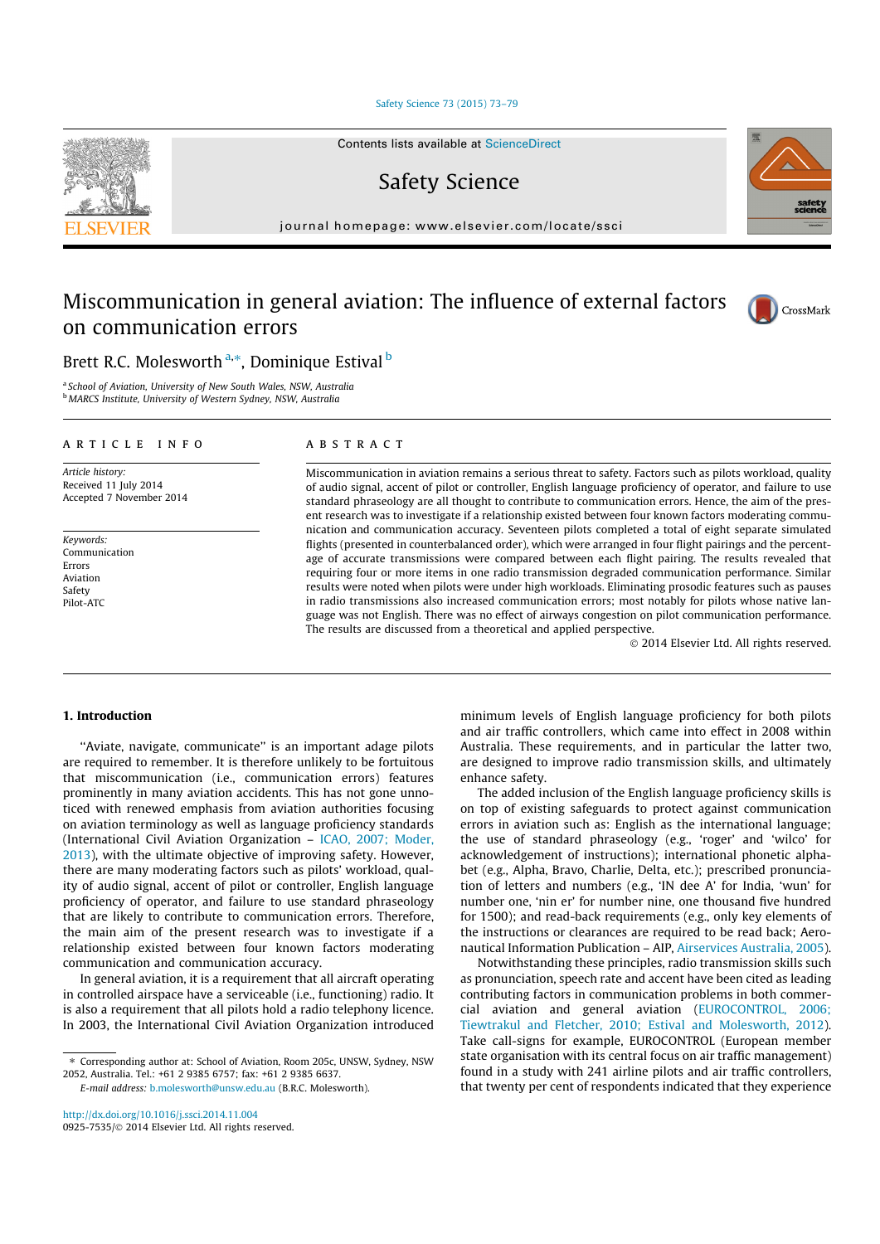## [Safety Science 73 \(2015\) 73–79](http://dx.doi.org/10.1016/j.ssci.2014.11.004)

Contents lists available at [ScienceDirect](http://www.sciencedirect.com/science/journal/09257535)





journal homepage: [www.elsevier.com/locate/ssci](http://www.elsevier.com/locate/ssci)

# Miscommunication in general aviation: The influence of external factors on communication errors



CrossMark

# Brett R.C. Molesworth<sup>a,\*</sup>, Dominique Estival b

<sup>a</sup> School of Aviation, University of New South Wales, NSW, Australia <sup>b</sup> MARCS Institute, University of Western Sydney, NSW, Australia

### article info

Article history: Received 11 July 2014 Accepted 7 November 2014

Keywords: Communication Errors Aviation Safety Pilot-ATC

# ABSTRACT

Miscommunication in aviation remains a serious threat to safety. Factors such as pilots workload, quality of audio signal, accent of pilot or controller, English language proficiency of operator, and failure to use standard phraseology are all thought to contribute to communication errors. Hence, the aim of the present research was to investigate if a relationship existed between four known factors moderating communication and communication accuracy. Seventeen pilots completed a total of eight separate simulated flights (presented in counterbalanced order), which were arranged in four flight pairings and the percentage of accurate transmissions were compared between each flight pairing. The results revealed that requiring four or more items in one radio transmission degraded communication performance. Similar results were noted when pilots were under high workloads. Eliminating prosodic features such as pauses in radio transmissions also increased communication errors; most notably for pilots whose native language was not English. There was no effect of airways congestion on pilot communication performance. The results are discussed from a theoretical and applied perspective.

 $©$  2014 Elsevier Ltd. All rights reserved.

## 1. Introduction

"Aviate, navigate, communicate" is an important adage pilots are required to remember. It is therefore unlikely to be fortuitous that miscommunication (i.e., communication errors) features prominently in many aviation accidents. This has not gone unnoticed with renewed emphasis from aviation authorities focusing on aviation terminology as well as language proficiency standards (International Civil Aviation Organization – ICAO, 2007; Moder, 2013), with the ultimate objective of improving safety. However, there are many moderating factors such as pilots' workload, quality of audio signal, accent of pilot or controller, English language proficiency of operator, and failure to use standard phraseology that are likely to contribute to communication errors. Therefore, the main aim of the present research was to investigate if a relationship existed between four known factors moderating communication and communication accuracy.

In general aviation, it is a requirement that all aircraft operating in controlled airspace have a serviceable (i.e., functioning) radio. It is also a requirement that all pilots hold a radio telephony licence. In 2003, the International Civil Aviation Organization introduced

E-mail address: [b.molesworth@unsw.edu.au](mailto:b.molesworth@unsw.edu.au) (B.R.C. Molesworth).

<http://dx.doi.org/10.1016/j.ssci.2014.11.004> 0925-7535/© 2014 Elsevier Ltd. All rights reserved. minimum levels of English language proficiency for both pilots and air traffic controllers, which came into effect in 2008 within Australia. These requirements, and in particular the latter two, are designed to improve radio transmission skills, and ultimately enhance safety.

The added inclusion of the English language proficiency skills is on top of existing safeguards to protect against communication errors in aviation such as: English as the international language; the use of standard phraseology (e.g., 'roger' and 'wilco' for acknowledgement of instructions); international phonetic alphabet (e.g., Alpha, Bravo, Charlie, Delta, etc.); prescribed pronunciation of letters and numbers (e.g., 'IN dee A' for India, 'wun' for number one, 'nin er' for number nine, one thousand five hundred for 1500); and read-back requirements (e.g., only key elements of the instructions or clearances are required to be read back; Aeronautical Information Publication – AIP, Airservices Australia, 2005).

Notwithstanding these principles, radio transmission skills such as pronunciation, speech rate and accent have been cited as leading contributing factors in communication problems in both commercial aviation and general aviation (EUROCONTROL, 2006; Tiewtrakul and Fletcher, 2010; Estival and Molesworth, 2012). Take call-signs for example, EUROCONTROL (European member state organisation with its central focus on air traffic management) found in a study with 241 airline pilots and air traffic controllers, that twenty per cent of respondents indicated that they experience

<sup>⇑</sup> Corresponding author at: School of Aviation, Room 205c, UNSW, Sydney, NSW 2052, Australia. Tel.: +61 2 9385 6757; fax: +61 2 9385 6637.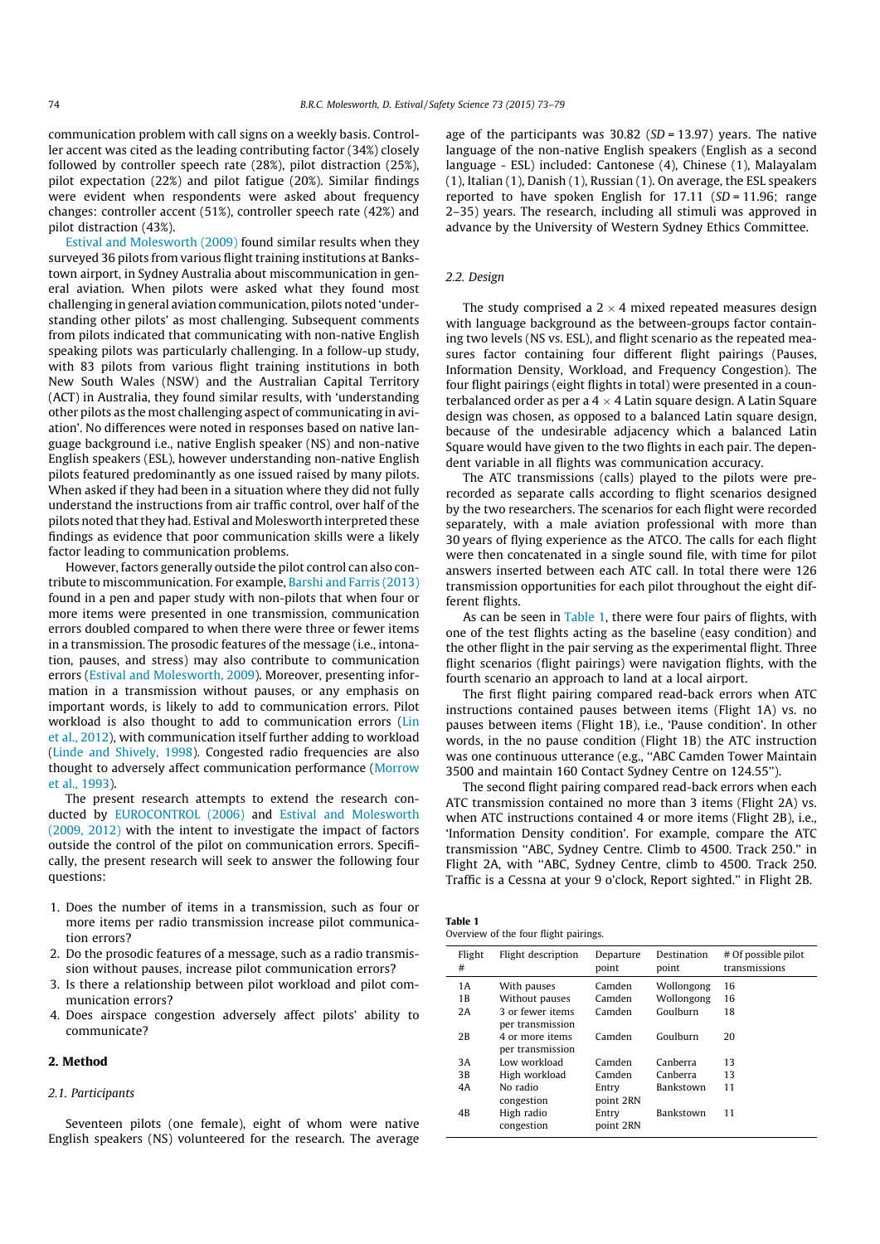communication problem with call signs on a weekly basis. Controller accent was cited as the leading contributing factor (34%) closely followed by controller speech rate (28%), pilot distraction (25%), pilot expectation (22%) and pilot fatigue (20%). Similar findings were evident when respondents were asked about frequency changes: controller accent (51%), controller speech rate (42%) and pilot distraction (43%).

Estival and Molesworth (2009) found similar results when they surveyed 36 pilots from various flight training institutions at Bankstown airport, in Sydney Australia about miscommunication in general aviation. When pilots were asked what they found most challenging in general aviation communication, pilots noted 'understanding other pilots' as most challenging. Subsequent comments from pilots indicated that communicating with non-native English speaking pilots was particularly challenging. In a follow-up study, with 83 pilots from various flight training institutions in both New South Wales (NSW) and the Australian Capital Territory (ACT) in Australia, they found similar results, with 'understanding other pilots as the most challenging aspect of communicating in aviation'. No differences were noted in responses based on native language background i.e., native English speaker (NS) and non-native English speakers (ESL), however understanding non-native English pilots featured predominantly as one issued raised by many pilots. When asked if they had been in a situation where they did not fully understand the instructions from air traffic control, over half of the pilots noted that they had. Estival and Molesworth interpreted these findings as evidence that poor communication skills were a likely factor leading to communication problems.

However, factors generally outside the pilot control can also contribute to miscommunication. For example, Barshi and Farris (2013) found in a pen and paper study with non-pilots that when four or more items were presented in one transmission, communication errors doubled compared to when there were three or fewer items in a transmission. The prosodic features of the message (i.e., intonation, pauses, and stress) may also contribute to communication errors (Estival and Molesworth, 2009). Moreover, presenting information in a transmission without pauses, or any emphasis on important words, is likely to add to communication errors. Pilot workload is also thought to add to communication errors (Lin et al., 2012), with communication itself further adding to workload (Linde and Shively, 1998). Congested radio frequencies are also thought to adversely affect communication performance (Morrow et al., 1993).

The present research attempts to extend the research conducted by EUROCONTROL (2006) and Estival and Molesworth (2009, 2012) with the intent to investigate the impact of factors outside the control of the pilot on communication errors. Specifically, the present research will seek to answer the following four questions:

- 1. Does the number of items in a transmission, such as four or more items per radio transmission increase pilot communication errors?
- 2. Do the prosodic features of a message, such as a radio transmission without pauses, increase pilot communication errors?
- 3. Is there a relationship between pilot workload and pilot communication errors?
- 4. Does airspace congestion adversely affect pilots' ability to communicate?

# 2. Method

## 2.1. Participants

Seventeen pilots (one female), eight of whom were native English speakers (NS) volunteered for the research. The average

age of the participants was  $30.82$  (SD = 13.97) years. The native language of the non-native English speakers (English as a second language - ESL) included: Cantonese (4), Chinese (1), Malayalam (1), Italian (1), Danish (1), Russian (1). On average, the ESL speakers reported to have spoken English for  $17.11$  (SD =  $11.96$ ; range 2–35) years. The research, including all stimuli was approved in advance by the University of Western Sydney Ethics Committee.

# 2.2. Design

The study comprised a  $2 \times 4$  mixed repeated measures design with language background as the between-groups factor containing two levels (NS vs. ESL), and flight scenario as the repeated measures factor containing four different flight pairings (Pauses, Information Density, Workload, and Frequency Congestion). The four flight pairings (eight flights in total) were presented in a counterbalanced order as per a  $4 \times 4$  Latin square design. A Latin Square design was chosen, as opposed to a balanced Latin square design, because of the undesirable adjacency which a balanced Latin Square would have given to the two flights in each pair. The dependent variable in all flights was communication accuracy.

The ATC transmissions (calls) played to the pilots were prerecorded as separate calls according to flight scenarios designed by the two researchers. The scenarios for each flight were recorded separately, with a male aviation professional with more than 30 years of flying experience as the ATCO. The calls for each flight were then concatenated in a single sound file, with time for pilot answers inserted between each ATC call. In total there were 126 transmission opportunities for each pilot throughout the eight different flights.

As can be seen in Table 1, there were four pairs of flights, with one of the test flights acting as the baseline (easy condition) and the other flight in the pair serving as the experimental flight. Three flight scenarios (flight pairings) were navigation flights, with the fourth scenario an approach to land at a local airport.

The first flight pairing compared read-back errors when ATC instructions contained pauses between items (Flight 1A) vs. no pauses between items (Flight 1B), i.e., 'Pause condition'. In other words, in the no pause condition (Flight 1B) the ATC instruction was one continuous utterance (e.g., ''ABC Camden Tower Maintain 3500 and maintain 160 Contact Sydney Centre on 124.55'').

The second flight pairing compared read-back errors when each ATC transmission contained no more than 3 items (Flight 2A) vs. when ATC instructions contained 4 or more items (Flight 2B), i.e., 'Information Density condition'. For example, compare the ATC transmission ''ABC, Sydney Centre. Climb to 4500. Track 250.'' in Flight 2A, with ''ABC, Sydney Centre, climb to 4500. Track 250. Traffic is a Cessna at your 9 o'clock, Report sighted.'' in Flight 2B.

| lavit l                               |  |  |  |
|---------------------------------------|--|--|--|
| Overview of the four flight pairings. |  |  |  |

Table 1

| Flight<br># | Flight description | Departure<br>point | Destination<br>point | # Of possible pilot<br>transmissions |
|-------------|--------------------|--------------------|----------------------|--------------------------------------|
| 1 A         | With pauses        | Camden             | Wollongong           | 16                                   |
| 1B          | Without pauses     | Camden             | Wollongong           | 16                                   |
| 2A          | 3 or fewer items   | Camden             | Goulburn             | 18                                   |
|             | per transmission   |                    |                      |                                      |
| 2B          | 4 or more items    | Camden             | Goulburn             | 20                                   |
|             | per transmission   |                    |                      |                                      |
| 3A          | Low workload       | Camden             | Canberra             | 13                                   |
| 3B          | High workload      | Camden             | Canberra             | 13                                   |
| 4A          | No radio           | Entry              | Bankstown            | 11                                   |
|             | congestion         | point 2RN          |                      |                                      |
| 4B          | High radio         | Entry              | <b>Bankstown</b>     | 11                                   |
|             | congestion         | point 2RN          |                      |                                      |
|             |                    |                    |                      |                                      |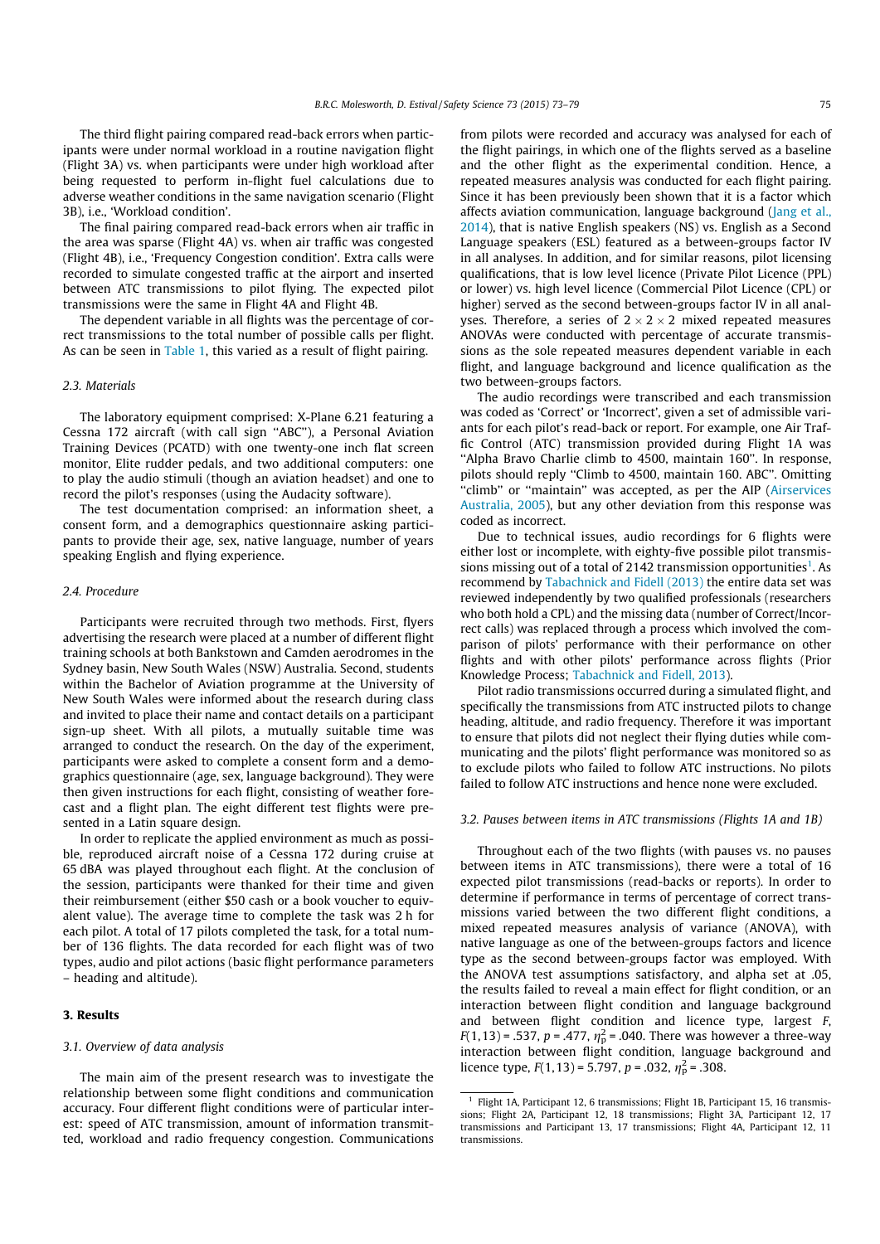The third flight pairing compared read-back errors when participants were under normal workload in a routine navigation flight (Flight 3A) vs. when participants were under high workload after being requested to perform in-flight fuel calculations due to adverse weather conditions in the same navigation scenario (Flight 3B), i.e., 'Workload condition'.

The final pairing compared read-back errors when air traffic in the area was sparse (Flight 4A) vs. when air traffic was congested (Flight 4B), i.e., 'Frequency Congestion condition'. Extra calls were recorded to simulate congested traffic at the airport and inserted between ATC transmissions to pilot flying. The expected pilot transmissions were the same in Flight 4A and Flight 4B.

The dependent variable in all flights was the percentage of correct transmissions to the total number of possible calls per flight. As can be seen in Table 1, this varied as a result of flight pairing.

## 2.3. Materials

The laboratory equipment comprised: X-Plane 6.21 featuring a Cessna 172 aircraft (with call sign ''ABC''), a Personal Aviation Training Devices (PCATD) with one twenty-one inch flat screen monitor, Elite rudder pedals, and two additional computers: one to play the audio stimuli (though an aviation headset) and one to record the pilot's responses (using the Audacity software).

The test documentation comprised: an information sheet, a consent form, and a demographics questionnaire asking participants to provide their age, sex, native language, number of years speaking English and flying experience.

### 2.4. Procedure

Participants were recruited through two methods. First, flyers advertising the research were placed at a number of different flight training schools at both Bankstown and Camden aerodromes in the Sydney basin, New South Wales (NSW) Australia. Second, students within the Bachelor of Aviation programme at the University of New South Wales were informed about the research during class and invited to place their name and contact details on a participant sign-up sheet. With all pilots, a mutually suitable time was arranged to conduct the research. On the day of the experiment, participants were asked to complete a consent form and a demographics questionnaire (age, sex, language background). They were then given instructions for each flight, consisting of weather forecast and a flight plan. The eight different test flights were presented in a Latin square design.

In order to replicate the applied environment as much as possible, reproduced aircraft noise of a Cessna 172 during cruise at 65 dBA was played throughout each flight. At the conclusion of the session, participants were thanked for their time and given their reimbursement (either \$50 cash or a book voucher to equivalent value). The average time to complete the task was 2 h for each pilot. A total of 17 pilots completed the task, for a total number of 136 flights. The data recorded for each flight was of two types, audio and pilot actions (basic flight performance parameters – heading and altitude).

# 3. Results

### 3.1. Overview of data analysis

The main aim of the present research was to investigate the relationship between some flight conditions and communication accuracy. Four different flight conditions were of particular interest: speed of ATC transmission, amount of information transmitted, workload and radio frequency congestion. Communications from pilots were recorded and accuracy was analysed for each of the flight pairings, in which one of the flights served as a baseline and the other flight as the experimental condition. Hence, a repeated measures analysis was conducted for each flight pairing. Since it has been previously been shown that it is a factor which affects aviation communication, language background (Jang et al., 2014), that is native English speakers (NS) vs. English as a Second Language speakers (ESL) featured as a between-groups factor IV in all analyses. In addition, and for similar reasons, pilot licensing qualifications, that is low level licence (Private Pilot Licence (PPL) or lower) vs. high level licence (Commercial Pilot Licence (CPL) or higher) served as the second between-groups factor IV in all analyses. Therefore, a series of  $2 \times 2 \times 2$  mixed repeated measures ANOVAs were conducted with percentage of accurate transmissions as the sole repeated measures dependent variable in each flight, and language background and licence qualification as the two between-groups factors.

The audio recordings were transcribed and each transmission was coded as 'Correct' or 'Incorrect', given a set of admissible variants for each pilot's read-back or report. For example, one Air Traffic Control (ATC) transmission provided during Flight 1A was ''Alpha Bravo Charlie climb to 4500, maintain 160''. In response, pilots should reply ''Climb to 4500, maintain 160. ABC''. Omitting "climb" or "maintain" was accepted, as per the AIP (Airservices Australia, 2005), but any other deviation from this response was coded as incorrect.

Due to technical issues, audio recordings for 6 flights were either lost or incomplete, with eighty-five possible pilot transmissions missing out of a total of 2142 transmission opportunities<sup>1</sup>. As recommend by Tabachnick and Fidell (2013) the entire data set was reviewed independently by two qualified professionals (researchers who both hold a CPL) and the missing data (number of Correct/Incorrect calls) was replaced through a process which involved the comparison of pilots' performance with their performance on other flights and with other pilots' performance across flights (Prior Knowledge Process; Tabachnick and Fidell, 2013).

Pilot radio transmissions occurred during a simulated flight, and specifically the transmissions from ATC instructed pilots to change heading, altitude, and radio frequency. Therefore it was important to ensure that pilots did not neglect their flying duties while communicating and the pilots' flight performance was monitored so as to exclude pilots who failed to follow ATC instructions. No pilots failed to follow ATC instructions and hence none were excluded.

#### 3.2. Pauses between items in ATC transmissions (Flights 1A and 1B)

Throughout each of the two flights (with pauses vs. no pauses between items in ATC transmissions), there were a total of 16 expected pilot transmissions (read-backs or reports). In order to determine if performance in terms of percentage of correct transmissions varied between the two different flight conditions, a mixed repeated measures analysis of variance (ANOVA), with native language as one of the between-groups factors and licence type as the second between-groups factor was employed. With the ANOVA test assumptions satisfactory, and alpha set at .05, the results failed to reveal a main effect for flight condition, or an interaction between flight condition and language background and between flight condition and licence type, largest F,  $F(1, 13)$  = .537, p = .477,  $\eta_{\rm p}^2$  = .040. There was however a three-way interaction between flight condition, language background and licence type,  $F(1, 13) = 5.797$ ,  $p = .032$ ,  $\eta_p^2 = .308$ .

<sup>&</sup>lt;sup>1</sup> Flight 1A, Participant 12, 6 transmissions; Flight 1B, Participant 15, 16 transmissions; Flight 2A, Participant 12, 18 transmissions; Flight 3A, Participant 12, 17 transmissions and Participant 13, 17 transmissions; Flight 4A, Participant 12, 11 transmissions.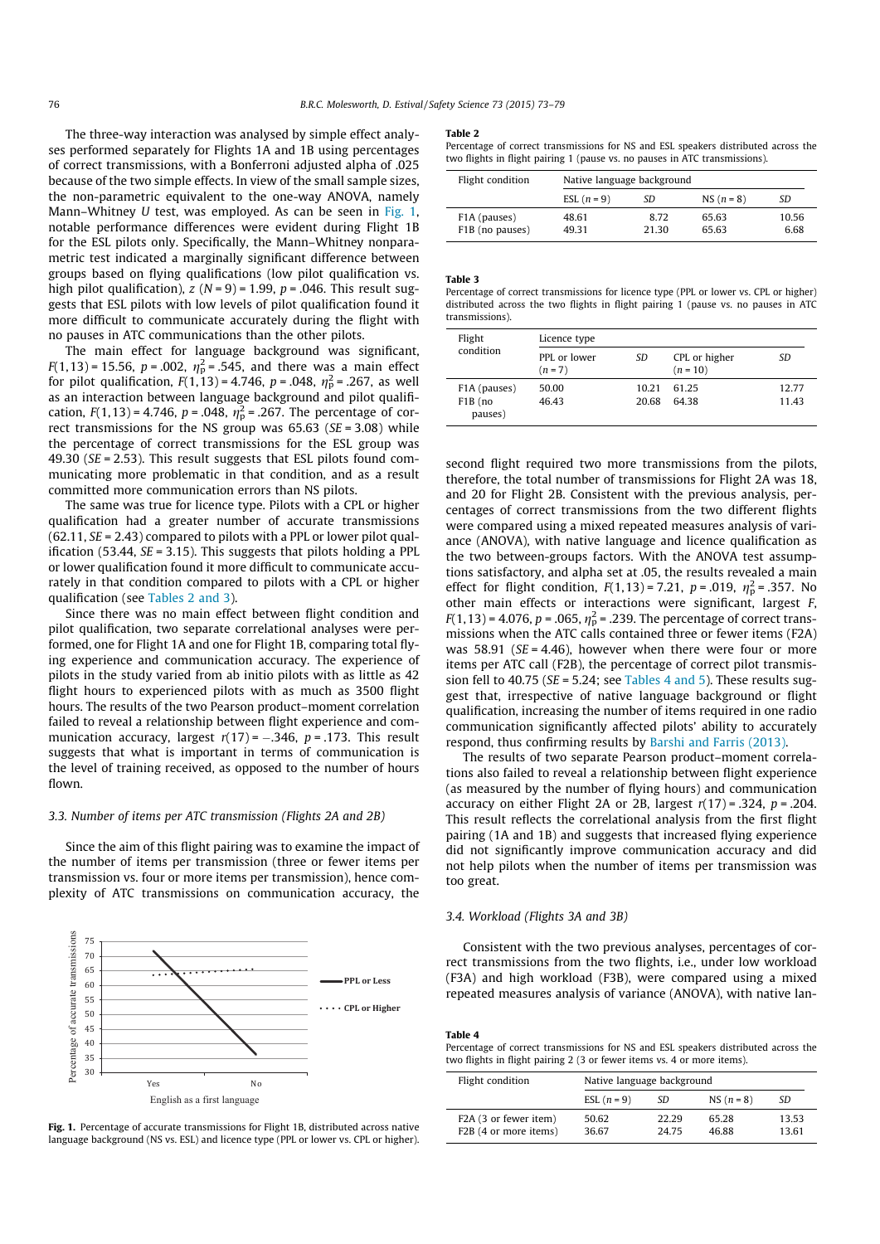The three-way interaction was analysed by simple effect analyses performed separately for Flights 1A and 1B using percentages of correct transmissions, with a Bonferroni adjusted alpha of .025 because of the two simple effects. In view of the small sample sizes, the non-parametric equivalent to the one-way ANOVA, namely Mann–Whitney U test, was employed. As can be seen in Fig. 1, notable performance differences were evident during Flight 1B for the ESL pilots only. Specifically, the Mann–Whitney nonparametric test indicated a marginally significant difference between groups based on flying qualifications (low pilot qualification vs. high pilot qualification),  $z$  (N = 9) = 1.99,  $p$  = .046. This result suggests that ESL pilots with low levels of pilot qualification found it more difficult to communicate accurately during the flight with no pauses in ATC communications than the other pilots.

The main effect for language background was significant,  $F(1, 13)$  = 15.56, p = .002,  $\eta_p^2$  = .545, and there was a main effect for pilot qualification,  $F(1, 13) = 4.746$ ,  $p = .048$ ,  $\eta_p^2 = .267$ , as well as an interaction between language background and pilot qualification,  $F(1, 13) = 4.746$ ,  $p = .048$ ,  $\eta_p^2 = .267$ . The percentage of correct transmissions for the NS group was  $65.63$  ( $SE = 3.08$ ) while the percentage of correct transmissions for the ESL group was 49.30 (SE = 2.53). This result suggests that ESL pilots found communicating more problematic in that condition, and as a result committed more communication errors than NS pilots.

The same was true for licence type. Pilots with a CPL or higher qualification had a greater number of accurate transmissions  $(62.11, SE = 2.43)$  compared to pilots with a PPL or lower pilot qualification (53.44,  $SE = 3.15$ ). This suggests that pilots holding a PPL or lower qualification found it more difficult to communicate accurately in that condition compared to pilots with a CPL or higher qualification (see Tables 2 and 3).

Since there was no main effect between flight condition and pilot qualification, two separate correlational analyses were performed, one for Flight 1A and one for Flight 1B, comparing total flying experience and communication accuracy. The experience of pilots in the study varied from ab initio pilots with as little as 42 flight hours to experienced pilots with as much as 3500 flight hours. The results of the two Pearson product–moment correlation failed to reveal a relationship between flight experience and communication accuracy, largest  $r(17) = -.346$ ,  $p = .173$ . This result suggests that what is important in terms of communication is the level of training received, as opposed to the number of hours flown.

### 3.3. Number of items per ATC transmission (Flights 2A and 2B)

Since the aim of this flight pairing was to examine the impact of the number of items per transmission (three or fewer items per transmission vs. four or more items per transmission), hence complexity of ATC transmissions on communication accuracy, the



Fig. 1. Percentage of accurate transmissions for Flight 1B, distributed across native language background (NS vs. ESL) and licence type (PPL or lower vs. CPL or higher).

#### Table 2

Percentage of correct transmissions for NS and ESL speakers distributed across the two flights in flight pairing 1 (pause vs. no pauses in ATC transmissions).

| Flight condition                                          | Native language background |               |                |               |  |
|-----------------------------------------------------------|----------------------------|---------------|----------------|---------------|--|
|                                                           | ESL $(n=9)$                | SD            | $NS(n=8)$      | SD.           |  |
| F <sub>1</sub> A (pauses)<br>F <sub>1</sub> B (no pauses) | 48.61<br>49.31             | 8.72<br>21.30 | 65.63<br>65.63 | 10.56<br>6.68 |  |

#### Table 3

Percentage of correct transmissions for licence type (PPL or lower vs. CPL or higher) distributed across the two flights in flight pairing 1 (pause vs. no pauses in ATC transmissions).

| Flight                          | Licence type              |       |                             |       |
|---------------------------------|---------------------------|-------|-----------------------------|-------|
| condition                       | PPL or lower<br>$(n = 7)$ | SD    | CPL or higher<br>$(n = 10)$ | SD    |
| F <sub>1</sub> A (pauses)       | 50.00                     | 10.21 | 61.25                       | 12.77 |
| F <sub>1</sub> B (no<br>pauses) | 46.43                     | 20.68 | 6438                        | 11.43 |

second flight required two more transmissions from the pilots, therefore, the total number of transmissions for Flight 2A was 18, and 20 for Flight 2B. Consistent with the previous analysis, percentages of correct transmissions from the two different flights were compared using a mixed repeated measures analysis of variance (ANOVA), with native language and licence qualification as the two between-groups factors. With the ANOVA test assumptions satisfactory, and alpha set at .05, the results revealed a main effect for flight condition,  $F(1,13) = 7.21$ ,  $p = .019$ ,  $\eta_p^2 = .357$ . No other main effects or interactions were significant, largest F,  $F(1, 13) = 4.076$ ,  $p = .065$ ,  $\eta_p^2 = .239$ . The percentage of correct transmissions when the ATC calls contained three or fewer items (F2A) was  $58.91$  (SE = 4.46), however when there were four or more items per ATC call (F2B), the percentage of correct pilot transmission fell to 40.75 ( $SE = 5.24$ ; see Tables 4 and 5). These results suggest that, irrespective of native language background or flight qualification, increasing the number of items required in one radio communication significantly affected pilots' ability to accurately respond, thus confirming results by Barshi and Farris (2013).

The results of two separate Pearson product–moment correlations also failed to reveal a relationship between flight experience (as measured by the number of flying hours) and communication accuracy on either Flight 2A or 2B, largest  $r(17) = .324$ ,  $p = .204$ . This result reflects the correlational analysis from the first flight pairing (1A and 1B) and suggests that increased flying experience did not significantly improve communication accuracy and did not help pilots when the number of items per transmission was too great.

#### 3.4. Workload (Flights 3A and 3B)

Consistent with the two previous analyses, percentages of correct transmissions from the two flights, i.e., under low workload (F3A) and high workload (F3B), were compared using a mixed repeated measures analysis of variance (ANOVA), with native lan-

#### Table 4

Percentage of correct transmissions for NS and ESL speakers distributed across the two flights in flight pairing 2 (3 or fewer items vs. 4 or more items).

| Flight condition                               | Native language background |               |                |                |  |
|------------------------------------------------|----------------------------|---------------|----------------|----------------|--|
|                                                | ESL $(n=9)$                | SD            | $NS (n = 8)$   | SD             |  |
| F2A (3 or fewer item)<br>F2B (4 or more items) | 50.62<br>36.67             | 22.29<br>2475 | 65.28<br>46.88 | 13.53<br>13.61 |  |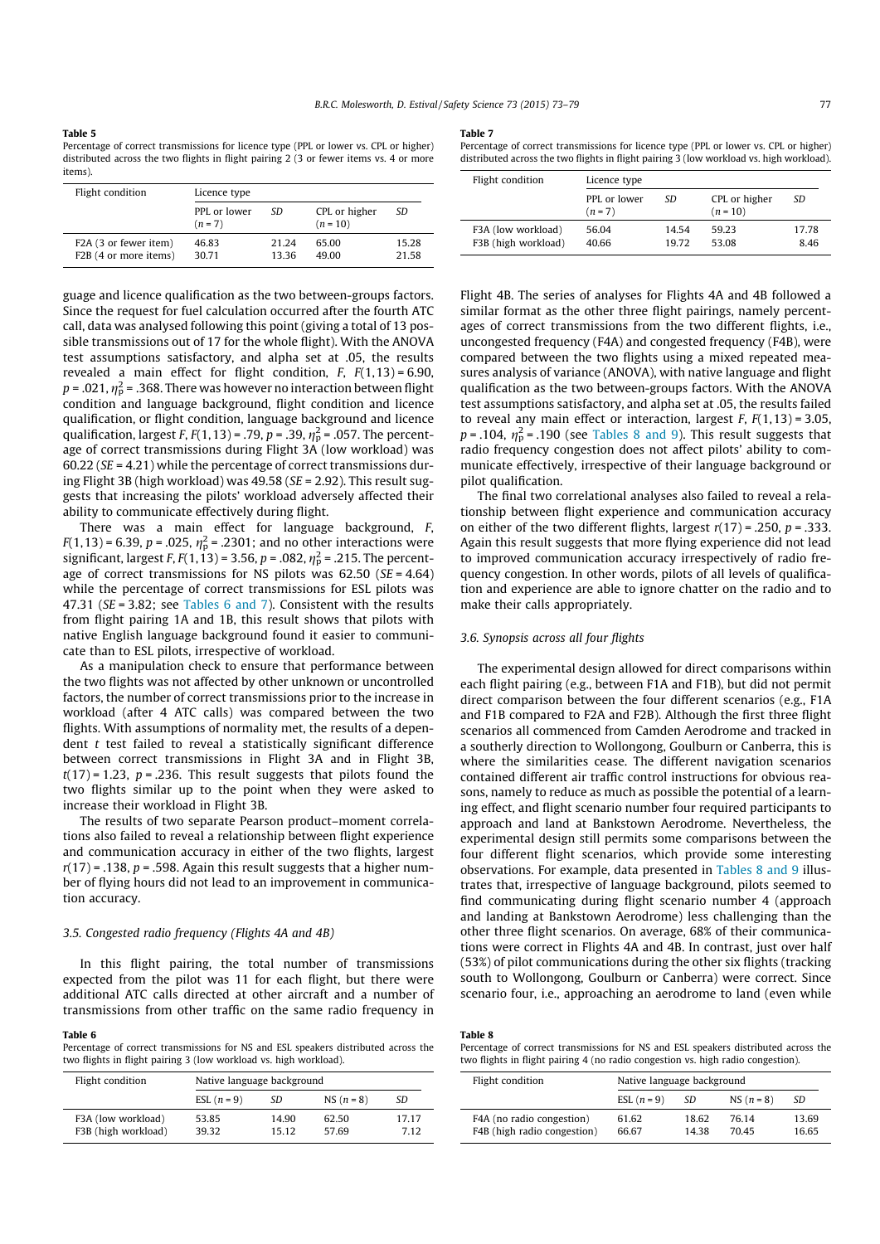#### Table 5

Percentage of correct transmissions for licence type (PPL or lower vs. CPL or higher) distributed across the two flights in flight pairing 2 (3 or fewer items vs. 4 or more items).

| Flight condition                               | Licence type              |               |                             |                |
|------------------------------------------------|---------------------------|---------------|-----------------------------|----------------|
|                                                | PPL or lower<br>$(n = 7)$ | SD.           | CPL or higher<br>$(n = 10)$ | SD             |
| F2A (3 or fewer item)<br>F2B (4 or more items) | 46.83<br>30.71            | 21 24<br>1336 | 65.00<br>49.00              | 15.28<br>21.58 |

guage and licence qualification as the two between-groups factors. Since the request for fuel calculation occurred after the fourth ATC call, data was analysed following this point (giving a total of 13 possible transmissions out of 17 for the whole flight). With the ANOVA test assumptions satisfactory, and alpha set at .05, the results revealed a main effect for flight condition,  $F$ ,  $F(1,13) = 6.90$ , p = .021,  $\eta_\texttt{p}^2$  = .368. There was however no interaction between flight condition and language background, flight condition and licence qualification, or flight condition, language background and licence qualification, largest F, F(1,13) = .79, p = .39,  $\eta_{\rm p}^2$  = .057. The percentage of correct transmissions during Flight 3A (low workload) was 60.22 ( $SE = 4.21$ ) while the percentage of correct transmissions during Flight 3B (high workload) was  $49.58$  (SE = 2.92). This result suggests that increasing the pilots' workload adversely affected their ability to communicate effectively during flight.

There was a main effect for language background, F,  $F(1,13)$  = 6.39, p = .025,  $\eta_p^2$  = .2301; and no other interactions were significant, largest F, F(1,13) = 3.56, p = .082,  $\eta_{\rm p}^2$  = .215. The percentage of correct transmissions for NS pilots was  $62.50$  (SE = 4.64) while the percentage of correct transmissions for ESL pilots was 47.31 ( $SE = 3.82$ ; see Tables 6 and 7). Consistent with the results from flight pairing 1A and 1B, this result shows that pilots with native English language background found it easier to communicate than to ESL pilots, irrespective of workload.

As a manipulation check to ensure that performance between the two flights was not affected by other unknown or uncontrolled factors, the number of correct transmissions prior to the increase in workload (after 4 ATC calls) was compared between the two flights. With assumptions of normality met, the results of a dependent  $t$  test failed to reveal a statistically significant difference between correct transmissions in Flight 3A and in Flight 3B,  $t(17) = 1.23$ ,  $p = .236$ . This result suggests that pilots found the two flights similar up to the point when they were asked to increase their workload in Flight 3B.

The results of two separate Pearson product–moment correlations also failed to reveal a relationship between flight experience and communication accuracy in either of the two flights, largest  $r(17)$  = .138, p = .598. Again this result suggests that a higher number of flying hours did not lead to an improvement in communication accuracy.

# 3.5. Congested radio frequency (Flights 4A and 4B)

In this flight pairing, the total number of transmissions expected from the pilot was 11 for each flight, but there were additional ATC calls directed at other aircraft and a number of transmissions from other traffic on the same radio frequency in

#### Table 6

Percentage of correct transmissions for NS and ESL speakers distributed across the two flights in flight pairing 3 (low workload vs. high workload).

| Flight condition                          | Native language background |                |                |              |  |
|-------------------------------------------|----------------------------|----------------|----------------|--------------|--|
|                                           | ESL $(n=9)$                | SD.            | $NS(n=8)$      | SD           |  |
| F3A (low workload)<br>F3B (high workload) | 53.85<br>39.32             | 14.90<br>15 12 | 62.50<br>57.69 | 17.17<br>712 |  |

#### Table 7

Percentage of correct transmissions for licence type (PPL or lower vs. CPL or higher) distributed across the two flights in flight pairing 3 (low workload vs. high workload).

| Flight condition                          | Licence type            |                |                             |               |  |
|-------------------------------------------|-------------------------|----------------|-----------------------------|---------------|--|
|                                           | PPL or lower<br>$(n=7)$ | SD             | CPL or higher<br>$(n = 10)$ | SD            |  |
| F3A (low workload)<br>F3B (high workload) | 56.04<br>40.66          | 14.54<br>19.72 | 59.23<br>53.08              | 17.78<br>8.46 |  |

Flight 4B. The series of analyses for Flights 4A and 4B followed a similar format as the other three flight pairings, namely percentages of correct transmissions from the two different flights, i.e., uncongested frequency (F4A) and congested frequency (F4B), were compared between the two flights using a mixed repeated measures analysis of variance (ANOVA), with native language and flight qualification as the two between-groups factors. With the ANOVA test assumptions satisfactory, and alpha set at .05, the results failed to reveal any main effect or interaction, largest  $F$ ,  $F(1,13) = 3.05$ .  $p = .104$ ,  $\eta_p^2 = .190$  (see Tables 8 and 9). This result suggests that radio frequency congestion does not affect pilots' ability to communicate effectively, irrespective of their language background or pilot qualification.

The final two correlational analyses also failed to reveal a relationship between flight experience and communication accuracy on either of the two different flights, largest  $r(17) = .250$ ,  $p = .333$ . Again this result suggests that more flying experience did not lead to improved communication accuracy irrespectively of radio frequency congestion. In other words, pilots of all levels of qualification and experience are able to ignore chatter on the radio and to make their calls appropriately.

# 3.6. Synopsis across all four flights

The experimental design allowed for direct comparisons within each flight pairing (e.g., between F1A and F1B), but did not permit direct comparison between the four different scenarios (e.g., F1A and F1B compared to F2A and F2B). Although the first three flight scenarios all commenced from Camden Aerodrome and tracked in a southerly direction to Wollongong, Goulburn or Canberra, this is where the similarities cease. The different navigation scenarios contained different air traffic control instructions for obvious reasons, namely to reduce as much as possible the potential of a learning effect, and flight scenario number four required participants to approach and land at Bankstown Aerodrome. Nevertheless, the experimental design still permits some comparisons between the four different flight scenarios, which provide some interesting observations. For example, data presented in Tables 8 and 9 illustrates that, irrespective of language background, pilots seemed to find communicating during flight scenario number 4 (approach and landing at Bankstown Aerodrome) less challenging than the other three flight scenarios. On average, 68% of their communications were correct in Flights 4A and 4B. In contrast, just over half (53%) of pilot communications during the other six flights (tracking south to Wollongong, Goulburn or Canberra) were correct. Since scenario four, i.e., approaching an aerodrome to land (even while

#### Table 8

Percentage of correct transmissions for NS and ESL speakers distributed across the two flights in flight pairing 4 (no radio congestion vs. high radio congestion).

| Flight condition                                         | Native language background |                |               |                |
|----------------------------------------------------------|----------------------------|----------------|---------------|----------------|
|                                                          | ESL $(n=9)$                | SD             | $NS(n=8)$     | SD             |
| F4A (no radio congestion)<br>F4B (high radio congestion) | 61.62<br>66.67             | 18.62<br>14 38 | 76 14<br>7045 | 13.69<br>16.65 |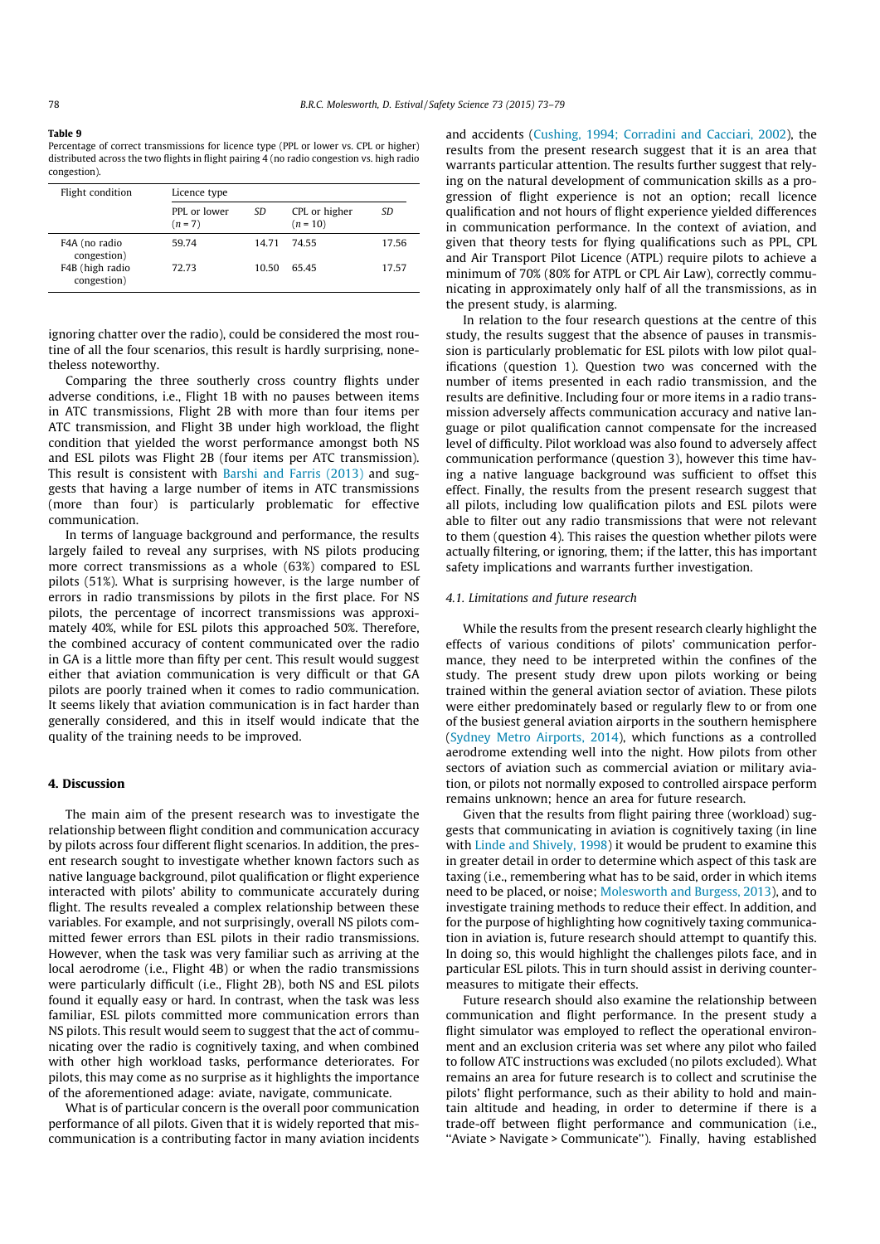#### Table 9

Percentage of correct transmissions for licence type (PPL or lower vs. CPL or higher) distributed across the two flights in flight pairing 4 (no radio congestion vs. high radio congestion).

| Flight condition               | Licence type              |       |                             |       |  |  |
|--------------------------------|---------------------------|-------|-----------------------------|-------|--|--|
|                                | PPL or lower<br>$(n = 7)$ | SD.   | CPL or higher<br>$(n = 10)$ | SD.   |  |  |
| F4A (no radio<br>congestion)   | 59.74                     | 14.71 | 74 55                       | 17.56 |  |  |
| F4B (high radio<br>congestion) | 72.73                     | 10.50 | 6545                        | 17.57 |  |  |

ignoring chatter over the radio), could be considered the most routine of all the four scenarios, this result is hardly surprising, nonetheless noteworthy.

Comparing the three southerly cross country flights under adverse conditions, i.e., Flight 1B with no pauses between items in ATC transmissions, Flight 2B with more than four items per ATC transmission, and Flight 3B under high workload, the flight condition that yielded the worst performance amongst both NS and ESL pilots was Flight 2B (four items per ATC transmission). This result is consistent with Barshi and Farris (2013) and suggests that having a large number of items in ATC transmissions (more than four) is particularly problematic for effective communication.

In terms of language background and performance, the results largely failed to reveal any surprises, with NS pilots producing more correct transmissions as a whole (63%) compared to ESL pilots (51%). What is surprising however, is the large number of errors in radio transmissions by pilots in the first place. For NS pilots, the percentage of incorrect transmissions was approximately 40%, while for ESL pilots this approached 50%. Therefore, the combined accuracy of content communicated over the radio in GA is a little more than fifty per cent. This result would suggest either that aviation communication is very difficult or that GA pilots are poorly trained when it comes to radio communication. It seems likely that aviation communication is in fact harder than generally considered, and this in itself would indicate that the quality of the training needs to be improved.

## 4. Discussion

The main aim of the present research was to investigate the relationship between flight condition and communication accuracy by pilots across four different flight scenarios. In addition, the present research sought to investigate whether known factors such as native language background, pilot qualification or flight experience interacted with pilots' ability to communicate accurately during flight. The results revealed a complex relationship between these variables. For example, and not surprisingly, overall NS pilots committed fewer errors than ESL pilots in their radio transmissions. However, when the task was very familiar such as arriving at the local aerodrome (i.e., Flight 4B) or when the radio transmissions were particularly difficult (i.e., Flight 2B), both NS and ESL pilots found it equally easy or hard. In contrast, when the task was less familiar, ESL pilots committed more communication errors than NS pilots. This result would seem to suggest that the act of communicating over the radio is cognitively taxing, and when combined with other high workload tasks, performance deteriorates. For pilots, this may come as no surprise as it highlights the importance of the aforementioned adage: aviate, navigate, communicate.

What is of particular concern is the overall poor communication performance of all pilots. Given that it is widely reported that miscommunication is a contributing factor in many aviation incidents

and accidents (Cushing, 1994; Corradini and Cacciari, 2002), the results from the present research suggest that it is an area that warrants particular attention. The results further suggest that relying on the natural development of communication skills as a progression of flight experience is not an option; recall licence qualification and not hours of flight experience yielded differences in communication performance. In the context of aviation, and given that theory tests for flying qualifications such as PPL, CPL and Air Transport Pilot Licence (ATPL) require pilots to achieve a minimum of 70% (80% for ATPL or CPL Air Law), correctly communicating in approximately only half of all the transmissions, as in the present study, is alarming.

In relation to the four research questions at the centre of this study, the results suggest that the absence of pauses in transmission is particularly problematic for ESL pilots with low pilot qualifications (question 1). Question two was concerned with the number of items presented in each radio transmission, and the results are definitive. Including four or more items in a radio transmission adversely affects communication accuracy and native language or pilot qualification cannot compensate for the increased level of difficulty. Pilot workload was also found to adversely affect communication performance (question 3), however this time having a native language background was sufficient to offset this effect. Finally, the results from the present research suggest that all pilots, including low qualification pilots and ESL pilots were able to filter out any radio transmissions that were not relevant to them (question 4). This raises the question whether pilots were actually filtering, or ignoring, them; if the latter, this has important safety implications and warrants further investigation.

#### 4.1. Limitations and future research

While the results from the present research clearly highlight the effects of various conditions of pilots' communication performance, they need to be interpreted within the confines of the study. The present study drew upon pilots working or being trained within the general aviation sector of aviation. These pilots were either predominately based or regularly flew to or from one of the busiest general aviation airports in the southern hemisphere (Sydney Metro Airports, 2014), which functions as a controlled aerodrome extending well into the night. How pilots from other sectors of aviation such as commercial aviation or military aviation, or pilots not normally exposed to controlled airspace perform remains unknown; hence an area for future research.

Given that the results from flight pairing three (workload) suggests that communicating in aviation is cognitively taxing (in line with Linde and Shively, 1998) it would be prudent to examine this in greater detail in order to determine which aspect of this task are taxing (i.e., remembering what has to be said, order in which items need to be placed, or noise; Molesworth and Burgess, 2013), and to investigate training methods to reduce their effect. In addition, and for the purpose of highlighting how cognitively taxing communication in aviation is, future research should attempt to quantify this. In doing so, this would highlight the challenges pilots face, and in particular ESL pilots. This in turn should assist in deriving countermeasures to mitigate their effects.

Future research should also examine the relationship between communication and flight performance. In the present study a flight simulator was employed to reflect the operational environment and an exclusion criteria was set where any pilot who failed to follow ATC instructions was excluded (no pilots excluded). What remains an area for future research is to collect and scrutinise the pilots' flight performance, such as their ability to hold and maintain altitude and heading, in order to determine if there is a trade-off between flight performance and communication (i.e., ''Aviate > Navigate > Communicate''). Finally, having established